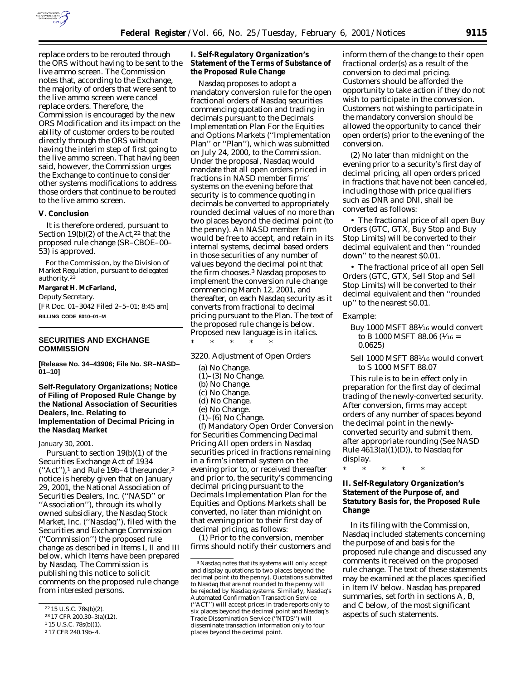

replace orders to be rerouted through the ORS without having to be sent to the live ammo screen. The Commission notes that, according to the Exchange, the majority of orders that were sent to the live ammo screen were cancel replace orders. Therefore, the Commission is encouraged by the new ORS Modification and its impact on the ability of customer orders to be routed directly through the ORS without having the interim step of first going to the live ammo screen. That having been said, however, the Commission urges the Exchange to continue to consider other systems modifications to address those orders that continue to be routed to the live ammo screen.

## **V. Conclusion**

*It is therefore ordered,* pursuant to Section 19(b)(2) of the Act, $22$  that the proposed rule change (SR–CBOE–00– 53) is approved.

For the Commission, by the Division of Market Regulation, pursuant to delegated authority.23

# **Margaret H. McFarland,**

*Deputy Secretary.*

[FR Doc. 01–3042 Filed 2–5–01; 8:45 am] **BILLING CODE 8010–01–M**

# **SECURITIES AND EXCHANGE COMMISSION**

**[Release No. 34–43906; File No. SR–NASD– 01–10]**

**Self-Regulatory Organizations; Notice of Filing of Proposed Rule Change by the National Association of Securities Dealers, Inc. Relating to Implementation of Decimal Pricing in the Nasdaq Market**

January 30, 2001.

Pursuant to section 19(b)(1) of the Securities Exchange Act of 1934  $("Act")$ ,<sup>1</sup> and Rule 19b–4 thereunder,<sup>2</sup> notice is hereby given that on January 29, 2001, the National Association of Securities Dealers, Inc. (''NASD'' or ''Association''), through its wholly owned subsidiary, the Nasdaq Stock Market, Inc. (''Nasdaq''), filed with the Securities and Exchange Commission (''Commission'') the proposed rule change as described in Items I, II and III below, which Items have been prepared by Nasdaq. The Commission is publishing this notice to solicit comments on the proposed rule change from interested persons.

## **I. Self-Regulatory Organization's Statement of the Terms of Substance of the Proposed Rule Change**

Nasdaq proposes to adopt a mandatory conversion rule for the open fractional orders of Nasdaq securities commencing quotation and trading in decimals pursuant to the Decimals Implementation Plan For the Equities and Options Markets (''Implementation Plan'' or ''Plan''), which was submitted on July 24, 2000, to the Commission. Under the proposal, Nasdaq would mandate that all open orders priced in fractions in NASD member firms' systems on the evening before that security is to commence quoting in decimals be converted to appropriately rounded decimal values of no more than two places beyond the decimal point (to the penny). An NASD member firm would be free to accept, and retain in its internal systems, decimal based orders in those securities of any number of values beyond the decimal point that the firm chooses.3 Nasdaq proposes to implement the conversion rule change commencing March 12, 2001, and thereafter, on each Nasdaq security as it converts from fractional to decimal pricing pursuant to the Plan. The text of the proposed rule change is below. Proposed new language is in italics.

3220. Adjustment of Open Orders

- (a) No Change.
- $(1)$ – $(3)$  No Change.

\* \* \* \* \*

- (b) No Change.
- (c) No Change.
- (d) No Change.
- (e) No Change.
- $(1)$ – $(6)$  No Change.

*(f) Mandatory Open Order Conversion for Securities Commencing Decimal Pricing All open orders in Nasdaq securities priced in fractions remaining in a firm's internal system on the evening prior to, or received thereafter and prior to, the security's commencing decimal pricing pursuant to the Decimals Implementation Plan for the Equities and Options Markets shall be converted, no later than midnight on that evening prior to their first day of decimal pricing, as follows:*

*(1) Prior to the conversion, member firms should notify their customers and* *inform them of the change to their open fractional order(s) as a result of the conversion to decimal pricing. Customers should be afforded the opportunity to take action if they do not wish to participate in the conversion. Customers not wishing to participate in the mandatory conversion should be allowed the opportunity to cancel their open order(s) prior to the evening of the conversion.*

*(2) No later than midnight on the evening prior to a security's first day of decimal pricing, all open orders priced in fractions that have not been canceled, including those with price qualifiers such as DNR and DNI, shall be converted as follows:*

• *The fractional price of all open Buy Orders (GTC, GTX, Buy Stop and Buy Stop Limits) will be converted to their decimal equivalent and then ''rounded down'' to the nearest \$0.01.*

• *The fractional price of all open Sell Orders (GTC, GTX, Sell Stop and Sell Stop Limits) will be converted to their decimal equivalent and then ''rounded up'' to the nearest \$0.01.*

*Example:*

*Buy 1000 MSFT* 881⁄16 would convert to B 1000 MSFT 88.06 ( $\frac{1}{16}$  = 0.0625)

Sell 1000 MSFT 881⁄16 would convert to S 1000 MSFT 88.07

*This rule is to be in effect only in preparation for the first day of decimal trading of the newly-converted security. After conversion, firms may accept orders of any number of spaces beyond the decimal point in the newlyconverted security and submit them, after appropriate rounding (See NASD Rule 4613(a)(1)(D)), to Nasdaq for display.*

\* \* \* \* \*

# **II. Self-Regulatory Organization's Statement of the Purpose of, and Statutory Basis for, the Proposed Rule Change**

In its filing with the Commission, Nasdaq included statements concerning the purpose of and basis for the proposed rule change and discussed any comments it received on the proposed rule change. The text of these statements may be examined at the places specified in Item IV below. Nasdaq has prepared summaries, set forth in sections A, B, and C below, of the most significant aspects of such statements.

<sup>22</sup> 15 U.S.C. 78s(b)(2).

<sup>23</sup> 17 CFR 200.30–3(a)(12).

<sup>1</sup> 15 U.S.C. 78s(b)(1).

<sup>2</sup> 17 CFR 240.19b–4.

<sup>3</sup>Nasdaq notes that its systems will only accept and display quotations to two places beyond the decimal point (to the penny). Quotations submitted to Nasdaq that are not rounded to the penny will be rejected by Nasdaq systems. Similarly, Nasdaq's Automated Confirmation Transaction Service (''ACT'') will accept prices in trade reports only to six places beyond the decimal point and Nasdaq's Trade Dissemination Service (''NTDS'') will disseminate transaction information only to four places beyond the decimal point.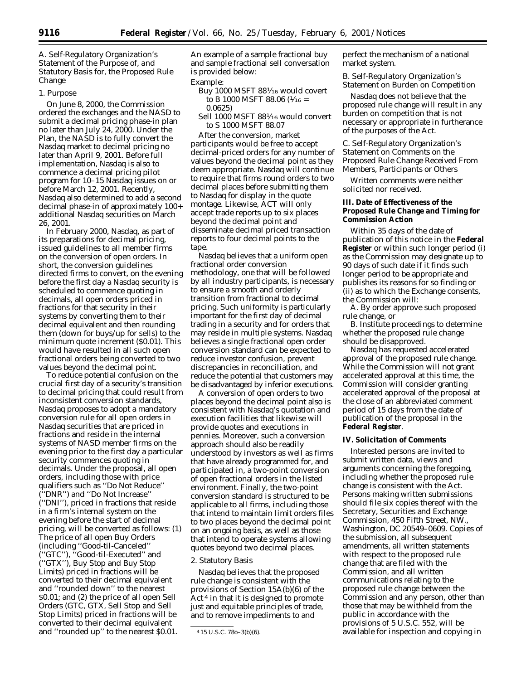*A. Self-Regulatory Organization's Statement of the Purpose of, and Statutory Basis for, the Proposed Rule Change*

## 1. Purpose

On June 8, 2000, the Commission ordered the exchanges and the NASD to submit a decimal pricing phase-in plan no later than July 24, 2000. Under the Plan, the NASD is to fully convert the Nasdaq market to decimal pricing no later than April 9, 2001. Before full implementation, Nasdaq is also to commence a decimal pricing pilot program for 10–15 Nasdaq issues on or before March 12, 2001. Recently, Nasdaq also determined to add a second decimal phase-in of approximately 100+ additional Nasdaq securities on March 26, 2001.

In February 2000, Nasdaq, as part of its preparations for decimal pricing, issued guidelines to all member firms on the conversion of open orders. In short, the conversion guidelines directed firms to convert, on the evening before the first day a Nasdaq security is scheduled to commence quoting in decimals, all open orders priced in fractions for that security in their systems by converting them to their decimal equivalent and then rounding them (down for buys/up for sells) to the minimum quote increment (\$0.01). This would have resulted in all such open fractional orders being converted to two values beyond the decimal point.

To reduce potential confusion on the crucial first day of a security's transition to decimal pricing that could result from inconsistent conversion standards, Nasdaq proposes to adopt a mandatory conversion rule for all open orders in Nasdaq securities that are priced in fractions and reside in the internal systems of NASD member firms on the evening prior to the first day a particular security commences quoting in decimals. Under the proposal, all open orders, including those with price qualifiers such as ''Do Not Reduce'' (''DNR'') and ''Do Not Increase'' (''DNI''), priced in fractions that reside in a firm's internal system on the evening before the start of decimal pricing, will be converted as follows: (1) The price of all open Buy Orders (including ''Good-til-Canceled'' (''GTC''), ''Good-til-Executed'' and (''GTX''), Buy Stop and Buy Stop Limits) priced in fractions will be converted to their decimal equivalent and ''rounded down'' to the nearest \$0.01; and (2) the price of all open Sell Orders (GTC, GTX, Sell Stop and Sell Stop Limits) priced in fractions will be converted to their decimal equivalent and ''rounded up'' to the nearest \$0.01.

An example of a sample fractional buy and sample fractional sell conversation is provided below:

## Example:

- Buy 1000 MSFT 881⁄16 would covert to B 1000 MSFT 88.06 ( $1/16$  = 0.0625)
- Sell 1000 MSFT 881⁄16 would convert to S 1000 MSFT 88.07

After the conversion, market participants would be free to accept decimal-priced orders for any number of values beyond the decimal point as they deem appropriate. Nasdaq will continue to require that firms round orders to two decimal places before submitting them to Nasdaq for display in the quote montage. Likewise, ACT will only accept trade reports up to six places beyond the decimal point and disseminate decimal priced transaction reports to four decimal points to the tape.

Nasdaq believes that a uniform open fractional order conversion methodology, one that will be followed by all industry participants, is necessary to ensure a smooth and orderly transition from fractional to decimal pricing. Such uniformity is particularly important for the first day of decimal trading in a security and for orders that may reside in multiple systems. Nasdaq believes a single fractional open order conversion standard can be expected to reduce investor confusion, prevent discrepancies in reconciliation, and reduce the potential that customers may be disadvantaged by inferior executions.

A conversion of open orders to two places beyond the decimal point also is consistent with Nasdaq's quotation and execution facilities that likewise will provide quotes and executions in pennies. Moreover, such a conversion approach should also be readily understood by investors as well as firms that have already programmed for, and participated in, a two-point conversion of open fractional orders in the listed environment. Finally, the two-point conversion standard is structured to be applicable to all firms, including those that intend to maintain limit orders files to two places beyond the decimal point on an ongoing basis, as well as those that intend to operate systems allowing quotes beyond two decimal places.

#### 2. Statutory Basis

Nasdaq believes that the proposed rule change is consistent with the provisions of Section 15A(b)(6) of the Act 4 in that it is designed to promote just and equitable principles of trade, and to remove impediments to and

perfect the mechanism of a national market system.

### *B. Self-Regulatory Organization's Statement on Burden on Competition*

Nasdaq does not believe that the proposed rule change will result in any burden on competition that is not necessary or appropriate in furtherance of the purposes of the Act.

## *C. Self-Regulatory Organization's Statement on Comments on the Proposed Rule Change Received From Members, Participants or Others*

Written comments were neither solicited nor received.

# **III. Date of Effectiveness of the Proposed Rule Change and Timing for Commission Action**

Within 35 days of the date of publication of this notice in the **Federal Register** or within such longer period (i) as the Commission may designate up to 90 days of such date if it finds such longer period to be appropriate and publishes its reasons for so finding or (ii) as to which the Exchange consents, the Commission will:

A. By order approve such proposed rule change, or

B. Institute proceedings to determine whether the proposed rule change should be disapproved.

Nasdaq has requested accelerated approval of the proposed rule change. While the Commission will not grant accelerated approval at this time, the Commission will consider granting accelerated approval of the proposal at the close of an abbreviated comment period of 15 days from the date of publication of the proposal in the **Federal Register**.

#### **IV. Solicitation of Comments**

Interested persons are invited to submit written data, views and arguments concerning the foregoing, including whether the proposed rule change is consistent with the Act. Persons making written submissions should file six copies thereof with the Secretary, Securities and Exchange Commission, 450 Fifth Street, NW., Washington, DC 20549–0609. Copies of the submission, all subsequent amendments, all written statements with respect to the proposed rule change that are filed with the Commission, and all written communications relating to the proposed rule change between the Commission and any person, other than those that may be withheld from the public in accordance with the provisions of 5 U.S.C. 552, will be available for inspection and copying in

<sup>4</sup> 15 U.S.C. 78o–3(b)(6).